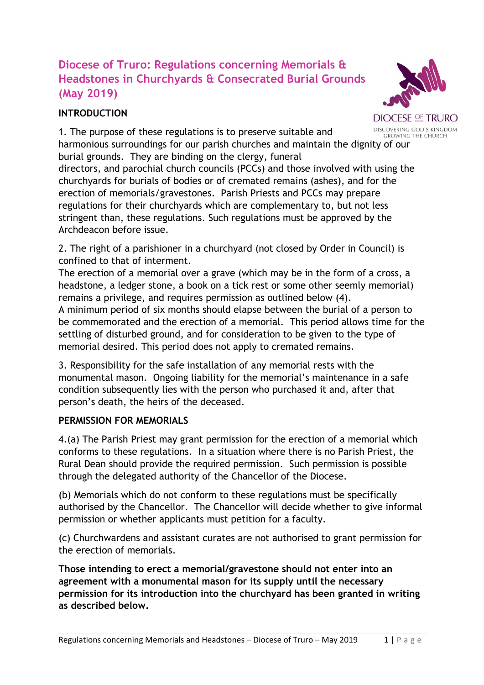## **Diocese of Truro: Regulations concerning Memorials & Headstones in Churchyards & Consecrated Burial Grounds (May 2019)**

## **INTRODUCTION**



**DIOCESE OF TRURO** DISCOVERING GOD'S KINGDOM **GROWING THE CHURCH** 

1. The purpose of these regulations is to preserve suitable and harmonious surroundings for our parish churches and maintain the dignity of our burial grounds. They are binding on the clergy, funeral directors, and parochial church councils (PCCs) and those involved with using the

churchyards for burials of bodies or of cremated remains (ashes), and for the erection of memorials/gravestones. Parish Priests and PCCs may prepare regulations for their churchyards which are complementary to, but not less stringent than, these regulations. Such regulations must be approved by the Archdeacon before issue.

2. The right of a parishioner in a churchyard (not closed by Order in Council) is confined to that of interment.

The erection of a memorial over a grave (which may be in the form of a cross, a headstone, a ledger stone, a book on a tick rest or some other seemly memorial) remains a privilege, and requires permission as outlined below (4).

A minimum period of six months should elapse between the burial of a person to be commemorated and the erection of a memorial. This period allows time for the settling of disturbed ground, and for consideration to be given to the type of memorial desired. This period does not apply to cremated remains.

3. Responsibility for the safe installation of any memorial rests with the monumental mason. Ongoing liability for the memorial's maintenance in a safe condition subsequently lies with the person who purchased it and, after that person's death, the heirs of the deceased.

## **PERMISSION FOR MEMORIALS**

4.(a) The Parish Priest may grant permission for the erection of a memorial which conforms to these regulations. In a situation where there is no Parish Priest, the Rural Dean should provide the required permission. Such permission is possible through the delegated authority of the Chancellor of the Diocese.

(b) Memorials which do not conform to these regulations must be specifically authorised by the Chancellor. The Chancellor will decide whether to give informal permission or whether applicants must petition for a faculty.

(c) Churchwardens and assistant curates are not authorised to grant permission for the erection of memorials.

**Those intending to erect a memorial/gravestone should not enter into an agreement with a monumental mason for its supply until the necessary permission for its introduction into the churchyard has been granted in writing as described below.**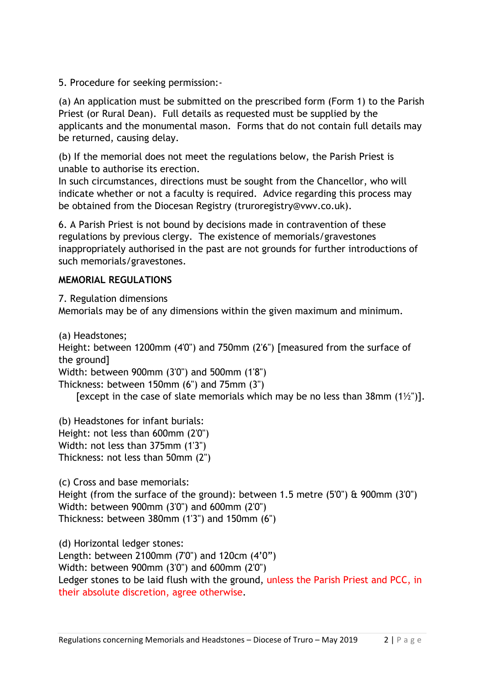5. Procedure for seeking permission:-

(a) An application must be submitted on the prescribed form (Form 1) to the Parish Priest (or Rural Dean). Full details as requested must be supplied by the applicants and the monumental mason. Forms that do not contain full details may be returned, causing delay.

(b) If the memorial does not meet the regulations below, the Parish Priest is unable to authorise its erection.

In such circumstances, directions must be sought from the Chancellor, who will indicate whether or not a faculty is required. Advice regarding this process may be obtained from the Diocesan Registry (truroregistry@vwv.co.uk).

6. A Parish Priest is not bound by decisions made in contravention of these regulations by previous clergy. The existence of memorials/gravestones inappropriately authorised in the past are not grounds for further introductions of such memorials/gravestones.

## **MEMORIAL REGULATIONS**

7. Regulation dimensions Memorials may be of any dimensions within the given maximum and minimum.

(a) Headstones; Height: between 1200mm (4'0") and 750mm (2'6") [measured from the surface of the ground] Width: between 900mm (3'0") and 500mm (1'8") Thickness: between 150mm (6") and 75mm (3") [except in the case of slate memorials which may be no less than 38mm  $(1\frac{1}{2})$ ].

(b) Headstones for infant burials: Height: not less than 600mm (2'0") Width: not less than 375mm (1'3") Thickness: not less than 50mm (2")

(c) Cross and base memorials: Height (from the surface of the ground): between 1.5 metre (5'0") & 900mm (3'0") Width: between 900mm (3'0") and 600mm (2'0") Thickness: between 380mm (1'3") and 150mm (6")

(d) Horizontal ledger stones: Length: between 2100mm (7'0") and 120cm (4'0") Width: between 900mm (3'0") and 600mm (2'0") Ledger stones to be laid flush with the ground, unless the Parish Priest and PCC, in their absolute discretion, agree otherwise.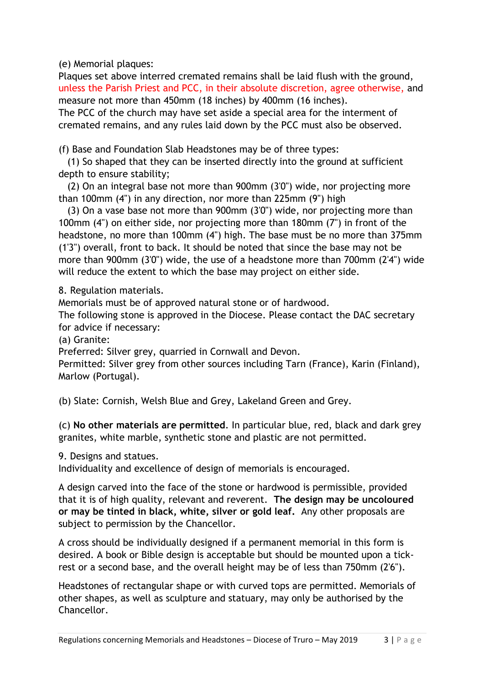(e) Memorial plaques:

Plaques set above interred cremated remains shall be laid flush with the ground, unless the Parish Priest and PCC, in their absolute discretion, agree otherwise, and measure not more than 450mm (18 inches) by 400mm (16 inches).

The PCC of the church may have set aside a special area for the interment of cremated remains, and any rules laid down by the PCC must also be observed.

(f) Base and Foundation Slab Headstones may be of three types:

(1) So shaped that they can be inserted directly into the ground at sufficient depth to ensure stability;

(2) On an integral base not more than 900mm (3'0") wide, nor projecting more than 100mm (4") in any direction, nor more than 225mm (9") high

(3) On a vase base not more than 900mm (3'0") wide, nor projecting more than 100mm (4") on either side, nor projecting more than 180mm (7") in front of the headstone, no more than 100mm (4") high. The base must be no more than 375mm (1'3") overall, front to back. It should be noted that since the base may not be more than 900mm (3'0") wide, the use of a headstone more than 700mm (2'4") wide will reduce the extent to which the base may project on either side.

8. Regulation materials.

Memorials must be of approved natural stone or of hardwood.

The following stone is approved in the Diocese. Please contact the DAC secretary for advice if necessary:

(a) Granite:

Preferred: Silver grey, quarried in Cornwall and Devon.

Permitted: Silver grey from other sources including Tarn (France), Karin (Finland), Marlow (Portugal).

(b) Slate: Cornish, Welsh Blue and Grey, Lakeland Green and Grey.

(c) **No other materials are permitted**. In particular blue, red, black and dark grey granites, white marble, synthetic stone and plastic are not permitted.

9. Designs and statues.

Individuality and excellence of design of memorials is encouraged.

A design carved into the face of the stone or hardwood is permissible, provided that it is of high quality, relevant and reverent. **The design may be uncoloured or may be tinted in black, white, silver or gold leaf.** Any other proposals are subject to permission by the Chancellor.

A cross should be individually designed if a permanent memorial in this form is desired. A book or Bible design is acceptable but should be mounted upon a tickrest or a second base, and the overall height may be of less than 750mm (2'6").

Headstones of rectangular shape or with curved tops are permitted. Memorials of other shapes, as well as sculpture and statuary, may only be authorised by the Chancellor.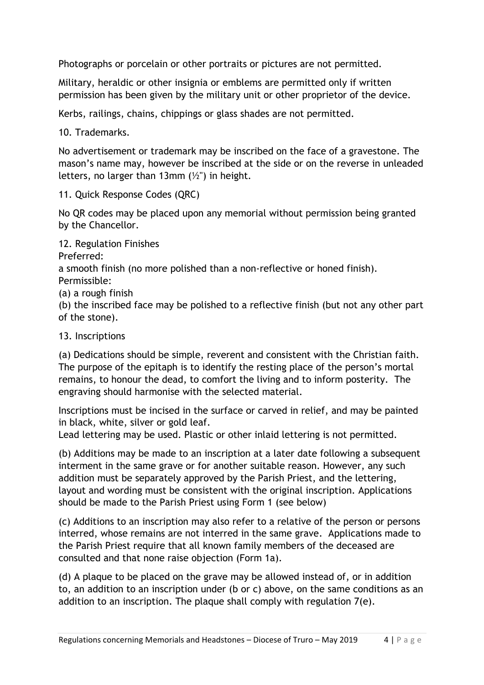Photographs or porcelain or other portraits or pictures are not permitted.

Military, heraldic or other insignia or emblems are permitted only if written permission has been given by the military unit or other proprietor of the device.

Kerbs, railings, chains, chippings or glass shades are not permitted.

10. Trademarks.

No advertisement or trademark may be inscribed on the face of a gravestone. The mason's name may, however be inscribed at the side or on the reverse in unleaded letters, no larger than 13mm  $(\frac{1}{2})$  in height.

11. Quick Response Codes (QRC)

No QR codes may be placed upon any memorial without permission being granted by the Chancellor.

12. Regulation Finishes Preferred:

a smooth finish (no more polished than a non-reflective or honed finish).

Permissible:

(a) a rough finish

(b) the inscribed face may be polished to a reflective finish (but not any other part of the stone).

13. Inscriptions

(a) Dedications should be simple, reverent and consistent with the Christian faith. The purpose of the epitaph is to identify the resting place of the person's mortal remains, to honour the dead, to comfort the living and to inform posterity. The engraving should harmonise with the selected material.

Inscriptions must be incised in the surface or carved in relief, and may be painted in black, white, silver or gold leaf.

Lead lettering may be used. Plastic or other inlaid lettering is not permitted.

(b) Additions may be made to an inscription at a later date following a subsequent interment in the same grave or for another suitable reason. However, any such addition must be separately approved by the Parish Priest, and the lettering, layout and wording must be consistent with the original inscription. Applications should be made to the Parish Priest using Form 1 (see below)

(c) Additions to an inscription may also refer to a relative of the person or persons interred, whose remains are not interred in the same grave. Applications made to the Parish Priest require that all known family members of the deceased are consulted and that none raise objection (Form 1a).

(d) A plaque to be placed on the grave may be allowed instead of, or in addition to, an addition to an inscription under (b or c) above, on the same conditions as an addition to an inscription. The plaque shall comply with regulation 7(e).